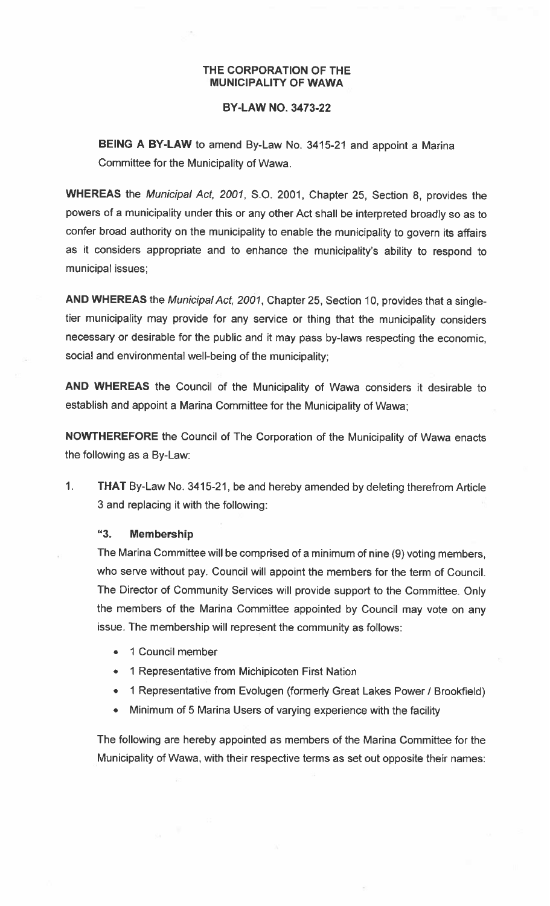## THE CORPORATION OF THE MUNICIPALITY OF WAWA

## BY-LAW NO. 3473-22

BEING <sup>A</sup> BY-LAW to amend By-Law No. 3415-21 and appoint <sup>a</sup> Marina Committee for the Municipality of Wawa.

WHEREAS the Municipal Act, 2001, S.O. 2001, Chapter 25, Section 8, provides the powers of <sup>a</sup> municipality under this or any other Act shall be interpreted broadly so as to confer broad authority on the municipality to enable the municipality to govern its affairs as it considers appropriate and to enhance the municipality's ability to respond to municipal issues;

AND WHEREAS the Municipal Act, 2001, Chapter 25, Section 10, provides that a singletier municipality may provide for any service or thing that the municipality considers necessary or desirable for the public and it may pass by-laws respecting the economic, social and environmental well-being of the municipality;

AND WHEREAS the Council of the Municipality of Wawa considers it desirable to establish and appoint a Marina Committee for the Municipality of Wawa;

NOWTHEREFORE the Council of The Corporation of the Municipality of Wawa enacts the following as <sup>a</sup> By-Law:

1. THAT By-Law No. 3415-21, be and hereby amended by deleting therefrom Article 3 and replacing it with the following:

## "3. Membership

The Marina Committee will be comprised of <sup>a</sup> minimum of nine (9) voting members, who serve without pay. Council will appoint the members for the term of Council. The Director of Community Services will provide support to the Committee. Only the members of the Marina Committee appointed by Council may vote on any issue. The membership will represent the community as follows:

- •1 Council member
- 1 Representative from Michipicoten First Nation
- 1 Representative from Evolugen (formerly Great Lakes Power / Brookfield)
- $\bullet$ Minimum of <sup>5</sup> Marina Users of varying experience with the facility

The following are hereby appointed as members of the Marina Committee for the Municipality of Wawa, with their respective terms as set out opposite their names: